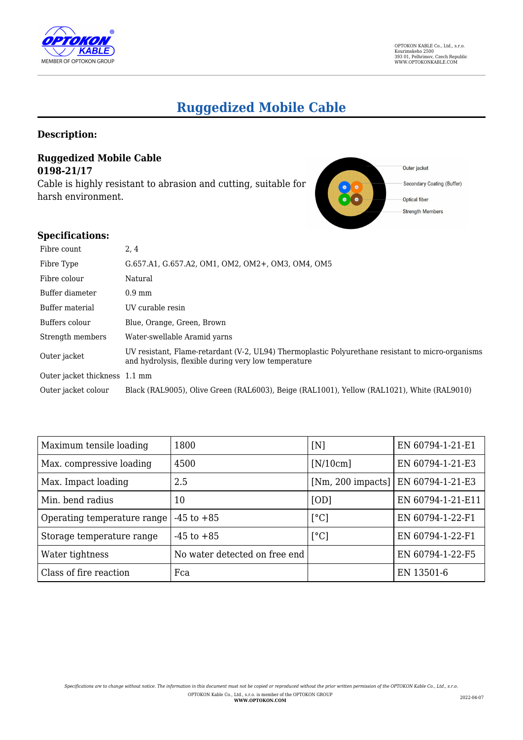

# **Ruggedized Mobile Cable**

## **Description:**

## **Ruggedized Mobile Cable 0198-21/17**

Cable is highly resistant to abrasion and cutting, suitable for harsh environment.



#### **Specifications:**

| Fibre count                   | 2, 4                                                                                                                                                      |
|-------------------------------|-----------------------------------------------------------------------------------------------------------------------------------------------------------|
| Fibre Type                    | G.657.A1, G.657.A2, OM1, OM2, OM2+, OM3, OM4, OM5                                                                                                         |
| Fibre colour                  | Natural                                                                                                                                                   |
| Buffer diameter               | $0.9$ mm                                                                                                                                                  |
| Buffer material               | UV curable resin                                                                                                                                          |
| Buffers colour                | Blue, Orange, Green, Brown                                                                                                                                |
| Strength members              | Water-swellable Aramid yarns                                                                                                                              |
| Outer jacket                  | UV resistant, Flame-retardant (V-2, UL94) Thermoplastic Polyurethane resistant to micro-organisms<br>and hydrolysis, flexible during very low temperature |
| Outer jacket thickness 1.1 mm |                                                                                                                                                           |
| Outer jacket colour           | Black (RAL9005), Olive Green (RAL6003), Beige (RAL1001), Yellow (RAL1021), White (RAL9010)                                                                |

| Maximum tensile loading     | 1800                          | [N]                 | EN 60794-1-21-E1  |
|-----------------------------|-------------------------------|---------------------|-------------------|
| Max. compressive loading    | 4500                          | [N/10cm]            | EN 60794-1-21-E3  |
| Max. Impact loading         | 2.5                           | $[Nm, 200$ impacts] | EN 60794-1-21-E3  |
| Min. bend radius            | 10                            | [OD]                | EN 60794-1-21-E11 |
| Operating temperature range | $-45$ to $+85$                | $\lceil$ °C]        | EN 60794-1-22-F1  |
| Storage temperature range   | $-45$ to $+85$                | $\lceil$ °C]        | EN 60794-1-22-F1  |
| Water tightness             | No water detected on free end |                     | EN 60794-1-22-F5  |
| Class of fire reaction      | Fca                           |                     | EN 13501-6        |

*Specifications are to change without notice. The information in this document must not be copied or reproduced without the prior written permission of the OPTOKON Kable Co., Ltd., s.r.o.* OPTOKON Kable Co., Ltd., s.r.o. is member of the OPTOKON GROUP **WWW.OPTOKON.COM** 2022-04-07